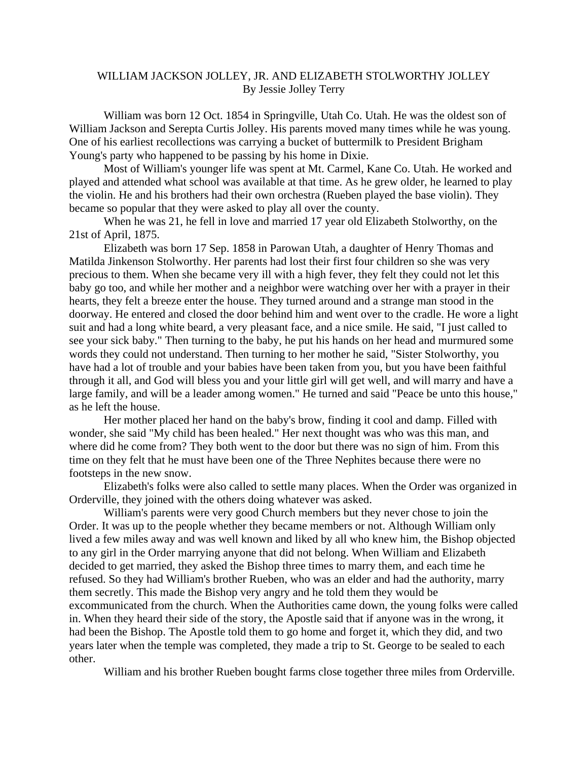## WILLIAM JACKSON JOLLEY, JR. AND ELIZABETH STOLWORTHY JOLLEY By Jessie Jolley Terry

 William was born 12 Oct. 1854 in Springville, Utah Co. Utah. He was the oldest son of William Jackson and Serepta Curtis Jolley. His parents moved many times while he was young. One of his earliest recollections was carrying a bucket of buttermilk to President Brigham Young's party who happened to be passing by his home in Dixie.

Most of William's younger life was spent at Mt. Carmel, Kane Co. Utah. He worked and played and attended what school was available at that time. As he grew older, he learned to play the violin. He and his brothers had their own orchestra (Rueben played the base violin). They became so popular that they were asked to play all over the county.

 When he was 21, he fell in love and married 17 year old Elizabeth Stolworthy, on the 21st of April, 1875.

 Elizabeth was born 17 Sep. 1858 in Parowan Utah, a daughter of Henry Thomas and Matilda Jinkenson Stolworthy. Her parents had lost their first four children so she was very precious to them. When she became very ill with a high fever, they felt they could not let this baby go too, and while her mother and a neighbor were watching over her with a prayer in their hearts, they felt a breeze enter the house. They turned around and a strange man stood in the doorway. He entered and closed the door behind him and went over to the cradle. He wore a light suit and had a long white beard, a very pleasant face, and a nice smile. He said, "I just called to see your sick baby." Then turning to the baby, he put his hands on her head and murmured some words they could not understand. Then turning to her mother he said, "Sister Stolworthy, you have had a lot of trouble and your babies have been taken from you, but you have been faithful through it all, and God will bless you and your little girl will get well, and will marry and have a large family, and will be a leader among women." He turned and said "Peace be unto this house," as he left the house.

 Her mother placed her hand on the baby's brow, finding it cool and damp. Filled with wonder, she said "My child has been healed." Her next thought was who was this man, and where did he come from? They both went to the door but there was no sign of him. From this time on they felt that he must have been one of the Three Nephites because there were no footsteps in the new snow.

 Elizabeth's folks were also called to settle many places. When the Order was organized in Orderville, they joined with the others doing whatever was asked.

William's parents were very good Church members but they never chose to join the Order. It was up to the people whether they became members or not. Although William only lived a few miles away and was well known and liked by all who knew him, the Bishop objected to any girl in the Order marrying anyone that did not belong. When William and Elizabeth decided to get married, they asked the Bishop three times to marry them, and each time he refused. So they had William's brother Rueben, who was an elder and had the authority, marry them secretly. This made the Bishop very angry and he told them they would be excommunicated from the church. When the Authorities came down, the young folks were called in. When they heard their side of the story, the Apostle said that if anyone was in the wrong, it had been the Bishop. The Apostle told them to go home and forget it, which they did, and two years later when the temple was completed, they made a trip to St. George to be sealed to each other.

William and his brother Rueben bought farms close together three miles from Orderville.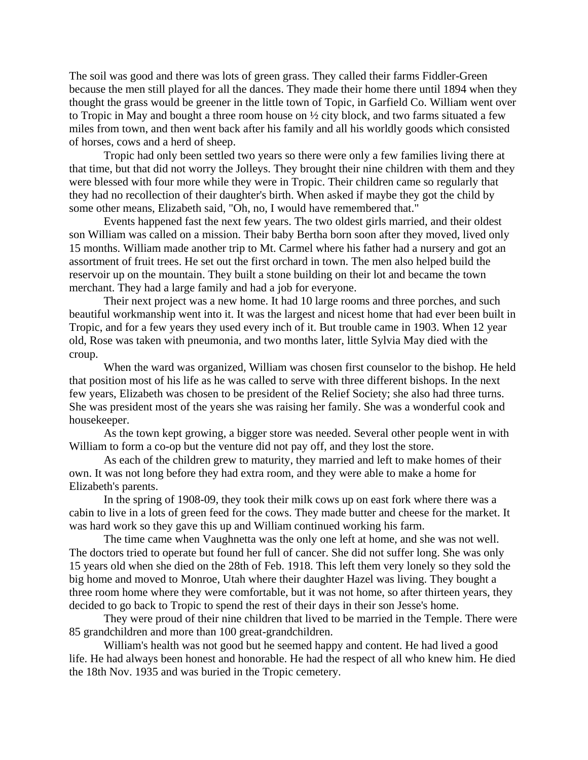The soil was good and there was lots of green grass. They called their farms Fiddler-Green because the men still played for all the dances. They made their home there until 1894 when they thought the grass would be greener in the little town of Topic, in Garfield Co. William went over to Tropic in May and bought a three room house on ½ city block, and two farms situated a few miles from town, and then went back after his family and all his worldly goods which consisted of horses, cows and a herd of sheep.

 Tropic had only been settled two years so there were only a few families living there at that time, but that did not worry the Jolleys. They brought their nine children with them and they were blessed with four more while they were in Tropic. Their children came so regularly that they had no recollection of their daughter's birth. When asked if maybe they got the child by some other means, Elizabeth said, "Oh, no, I would have remembered that."

 Events happened fast the next few years. The two oldest girls married, and their oldest son William was called on a mission. Their baby Bertha born soon after they moved, lived only 15 months. William made another trip to Mt. Carmel where his father had a nursery and got an assortment of fruit trees. He set out the first orchard in town. The men also helped build the reservoir up on the mountain. They built a stone building on their lot and became the town merchant. They had a large family and had a job for everyone.

 Their next project was a new home. It had 10 large rooms and three porches, and such beautiful workmanship went into it. It was the largest and nicest home that had ever been built in Tropic, and for a few years they used every inch of it. But trouble came in 1903. When 12 year old, Rose was taken with pneumonia, and two months later, little Sylvia May died with the croup.

 When the ward was organized, William was chosen first counselor to the bishop. He held that position most of his life as he was called to serve with three different bishops. In the next few years, Elizabeth was chosen to be president of the Relief Society; she also had three turns. She was president most of the years she was raising her family. She was a wonderful cook and housekeeper.

 As the town kept growing, a bigger store was needed. Several other people went in with William to form a co-op but the venture did not pay off, and they lost the store.

 As each of the children grew to maturity, they married and left to make homes of their own. It was not long before they had extra room, and they were able to make a home for Elizabeth's parents.

 In the spring of 1908-09, they took their milk cows up on east fork where there was a cabin to live in a lots of green feed for the cows. They made butter and cheese for the market. It was hard work so they gave this up and William continued working his farm.

 The time came when Vaughnetta was the only one left at home, and she was not well. The doctors tried to operate but found her full of cancer. She did not suffer long. She was only 15 years old when she died on the 28th of Feb. 1918. This left them very lonely so they sold the big home and moved to Monroe, Utah where their daughter Hazel was living. They bought a three room home where they were comfortable, but it was not home, so after thirteen years, they decided to go back to Tropic to spend the rest of their days in their son Jesse's home.

 They were proud of their nine children that lived to be married in the Temple. There were 85 grandchildren and more than 100 great-grandchildren.

 William's health was not good but he seemed happy and content. He had lived a good life. He had always been honest and honorable. He had the respect of all who knew him. He died the 18th Nov. 1935 and was buried in the Tropic cemetery.